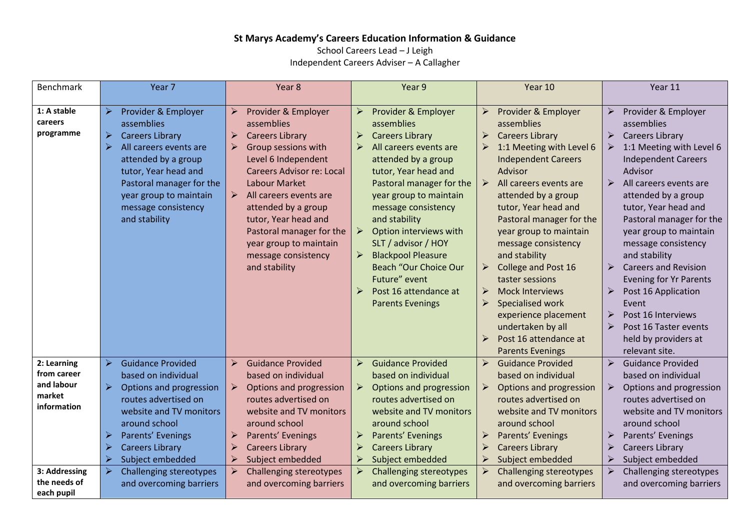## **St Marys Academy's Careers Education Information & Guidance**

School Careers Lead – J Leigh Independent Careers Adviser – A Callagher

| Benchmark                                                         | Year 7                                                                                                                                                                                                                                                                                    | Year 8                                                                                                                                                                                                                                                                                                                                                                                                                               | Year 9                                                                                                                                                                                                                                                                                                                                                                                                                                                                                                | Year 10                                                                                                                                                                                                                                                                                                                                                                                                                                                                                                                                                                                                                                      | Year 11                                                                                                                                                                                                                                                                                                                                                                                                                                                                                                                                                                                                                                      |
|-------------------------------------------------------------------|-------------------------------------------------------------------------------------------------------------------------------------------------------------------------------------------------------------------------------------------------------------------------------------------|--------------------------------------------------------------------------------------------------------------------------------------------------------------------------------------------------------------------------------------------------------------------------------------------------------------------------------------------------------------------------------------------------------------------------------------|-------------------------------------------------------------------------------------------------------------------------------------------------------------------------------------------------------------------------------------------------------------------------------------------------------------------------------------------------------------------------------------------------------------------------------------------------------------------------------------------------------|----------------------------------------------------------------------------------------------------------------------------------------------------------------------------------------------------------------------------------------------------------------------------------------------------------------------------------------------------------------------------------------------------------------------------------------------------------------------------------------------------------------------------------------------------------------------------------------------------------------------------------------------|----------------------------------------------------------------------------------------------------------------------------------------------------------------------------------------------------------------------------------------------------------------------------------------------------------------------------------------------------------------------------------------------------------------------------------------------------------------------------------------------------------------------------------------------------------------------------------------------------------------------------------------------|
| 1: A stable<br>careers<br>programme                               | $\blacktriangleright$<br>Provider & Employer<br>assemblies<br><b>Careers Library</b><br>➤<br>$\blacktriangleright$<br>All careers events are<br>attended by a group<br>tutor, Year head and<br>Pastoral manager for the<br>year group to maintain<br>message consistency<br>and stability | $\blacktriangleright$<br>Provider & Employer<br>assemblies<br><b>Careers Library</b><br>$\blacktriangleright$<br>Group sessions with<br>$\triangleright$<br>Level 6 Independent<br><b>Careers Advisor re: Local</b><br>Labour Market<br>$\blacktriangleright$<br>All careers events are<br>attended by a group<br>tutor, Year head and<br>Pastoral manager for the<br>year group to maintain<br>message consistency<br>and stability | Provider & Employer<br>$\blacktriangleright$<br>assemblies<br><b>Careers Library</b><br>All careers events are<br>attended by a group<br>tutor, Year head and<br>Pastoral manager for the<br>year group to maintain<br>message consistency<br>and stability<br>Option interviews with<br>➤<br>SLT / advisor / HOY<br><b>Blackpool Pleasure</b><br>$\blacktriangleright$<br><b>Beach "Our Choice Our</b><br>Future" event<br>$\blacktriangleright$<br>Post 16 attendance at<br><b>Parents Evenings</b> | $\blacktriangleright$<br>Provider & Employer<br>assemblies<br>$\blacktriangleright$<br><b>Careers Library</b><br>1:1 Meeting with Level 6<br>➤<br><b>Independent Careers</b><br>Advisor<br>All careers events are<br>➤<br>attended by a group<br>tutor, Year head and<br>Pastoral manager for the<br>year group to maintain<br>message consistency<br>and stability<br>$\blacktriangleright$<br>College and Post 16<br>taster sessions<br>$\blacktriangleright$<br><b>Mock Interviews</b><br>➤<br>Specialised work<br>experience placement<br>undertaken by all<br>$\blacktriangleright$<br>Post 16 attendance at<br><b>Parents Evenings</b> | $\blacktriangleright$<br>Provider & Employer<br>assemblies<br><b>Careers Library</b><br>$\blacktriangleright$<br>1:1 Meeting with Level 6<br>➤<br><b>Independent Careers</b><br>Advisor<br>$\blacktriangleright$<br>All careers events are<br>attended by a group<br>tutor, Year head and<br>Pastoral manager for the<br>year group to maintain<br>message consistency<br>and stability<br>$\blacktriangleright$<br><b>Careers and Revision</b><br><b>Evening for Yr Parents</b><br>$\blacktriangleright$<br>Post 16 Application<br>Event<br>Post 16 Interviews<br>➤<br>➤<br>Post 16 Taster events<br>held by providers at<br>relevant site. |
| 2: Learning<br>from career<br>and labour<br>market<br>information | $\blacktriangleright$<br><b>Guidance Provided</b><br>based on individual<br>Options and progression<br>➤<br>routes advertised on<br>website and TV monitors<br>around school<br>$\blacktriangleright$<br>Parents' Evenings                                                                | $\triangleright$<br><b>Guidance Provided</b><br>based on individual<br>Options and progression<br>$\blacktriangleright$<br>routes advertised on<br>website and TV monitors<br>around school<br>Parents' Evenings                                                                                                                                                                                                                     | $\blacktriangleright$<br><b>Guidance Provided</b><br>based on individual<br>$\blacktriangleright$<br>Options and progression<br>routes advertised on<br>website and TV monitors<br>around school<br>$\blacktriangleright$<br>Parents' Evenings                                                                                                                                                                                                                                                        | $\blacktriangleright$<br><b>Guidance Provided</b><br>based on individual<br>Options and progression<br>$\blacktriangleright$<br>routes advertised on<br>website and TV monitors<br>around school<br>$\blacktriangleright$<br>Parents' Evenings                                                                                                                                                                                                                                                                                                                                                                                               | $\blacktriangleright$<br><b>Guidance Provided</b><br>based on individual<br>Options and progression<br>$\blacktriangleright$<br>routes advertised on<br>website and TV monitors<br>around school<br>$\blacktriangleright$<br>Parents' Evenings                                                                                                                                                                                                                                                                                                                                                                                               |
|                                                                   | <b>Careers Library</b><br>⋗<br>Subject embedded<br>≻                                                                                                                                                                                                                                      | $\triangleright$<br><b>Careers Library</b><br>$\triangleright$<br>Subject embedded                                                                                                                                                                                                                                                                                                                                                   | <b>Careers Library</b><br>⋗<br>Subject embedded                                                                                                                                                                                                                                                                                                                                                                                                                                                       | $\blacktriangleright$<br><b>Careers Library</b><br>$\blacktriangleright$<br>Subject embedded                                                                                                                                                                                                                                                                                                                                                                                                                                                                                                                                                 | ➤<br><b>Careers Library</b><br>Subject embedded<br>➤                                                                                                                                                                                                                                                                                                                                                                                                                                                                                                                                                                                         |
| 3: Addressing<br>the needs of<br>each pupil                       | <b>Challenging stereotypes</b><br>$\blacktriangleright$<br>and overcoming barriers                                                                                                                                                                                                        | <b>Challenging stereotypes</b><br>$\triangleright$<br>and overcoming barriers                                                                                                                                                                                                                                                                                                                                                        | <b>Challenging stereotypes</b><br>and overcoming barriers                                                                                                                                                                                                                                                                                                                                                                                                                                             | $\blacktriangleright$<br>Challenging stereotypes<br>and overcoming barriers                                                                                                                                                                                                                                                                                                                                                                                                                                                                                                                                                                  | Challenging stereotypes<br>➤<br>and overcoming barriers                                                                                                                                                                                                                                                                                                                                                                                                                                                                                                                                                                                      |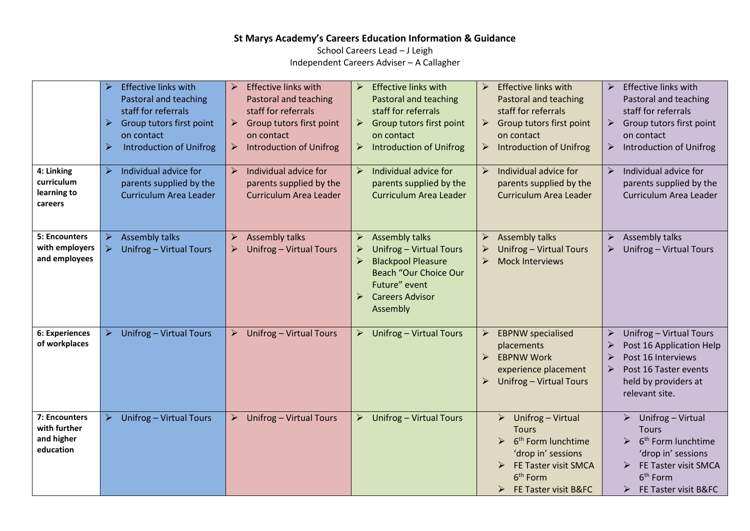## **St Marys Academy's Careers Education Information & Guidance**

School Careers Lead – J Leigh Independent Careers Adviser – A Callagher

|                                                          | <b>Effective links with</b><br>≻<br>Pastoral and teaching<br>staff for referrals<br>Group tutors first point<br>➤<br>on contact<br><b>Introduction of Unifrog</b><br>➤ | <b>Effective links with</b><br>$\triangleright$<br>Pastoral and teaching<br>staff for referrals<br>Group tutors first point<br>➤<br>on contact<br><b>Introduction of Unifrog</b><br>➤ | <b>Effective links with</b><br>$\blacktriangleright$<br>Pastoral and teaching<br>staff for referrals<br>Group tutors first point<br>➤<br>on contact<br><b>Introduction of Unifrog</b><br>$\blacktriangleright$ | $\blacktriangleright$<br><b>Effective links with</b><br>Pastoral and teaching<br>staff for referrals<br>Group tutors first point<br>➤<br>on contact<br>$\blacktriangleright$<br><b>Introduction of Unifrog</b> | <b>Effective links with</b><br>➤<br>Pastoral and teaching<br>staff for referrals<br>Group tutors first point<br>➤<br>on contact<br>Introduction of Unifrog<br>➤             |
|----------------------------------------------------------|------------------------------------------------------------------------------------------------------------------------------------------------------------------------|---------------------------------------------------------------------------------------------------------------------------------------------------------------------------------------|----------------------------------------------------------------------------------------------------------------------------------------------------------------------------------------------------------------|----------------------------------------------------------------------------------------------------------------------------------------------------------------------------------------------------------------|-----------------------------------------------------------------------------------------------------------------------------------------------------------------------------|
| 4: Linking<br>curriculum<br>learning to<br>careers       | Individual advice for<br>$\blacktriangleright$<br>parents supplied by the<br>Curriculum Area Leader                                                                    | $\triangleright$<br>Individual advice for<br>parents supplied by the<br>Curriculum Area Leader                                                                                        | Individual advice for<br>$\blacktriangleright$<br>parents supplied by the<br>Curriculum Area Leader                                                                                                            | $\triangleright$<br>Individual advice for<br>parents supplied by the<br>Curriculum Area Leader                                                                                                                 | $\blacktriangleright$<br>Individual advice for<br>parents supplied by the<br>Curriculum Area Leader                                                                         |
| 5: Encounters<br>with employers<br>and employees         | <b>Assembly talks</b><br>➤<br>$\blacktriangleright$<br>Unifrog - Virtual Tours                                                                                         | <b>Assembly talks</b><br>$\blacktriangleright$<br>Unifrog - Virtual Tours<br>➤                                                                                                        | <b>Assembly talks</b><br>➤<br>Unifrog - Virtual Tours<br>➤<br><b>Blackpool Pleasure</b><br>➤<br><b>Beach "Our Choice Our</b><br>Future" event<br><b>Careers Advisor</b><br>⋗<br>Assembly                       | <b>Assembly talks</b><br>$\blacktriangleright$<br>Unifrog - Virtual Tours<br>$\blacktriangleright$<br>$\blacktriangleright$<br><b>Mock Interviews</b>                                                          | Assembly talks<br>➤<br>Unifrog - Virtual Tours                                                                                                                              |
| 6: Experiences<br>of workplaces                          | $\blacktriangleright$<br>Unifrog - Virtual Tours                                                                                                                       | Unifrog - Virtual Tours<br>➤                                                                                                                                                          | Unifrog - Virtual Tours<br>➤                                                                                                                                                                                   | $\blacktriangleright$<br><b>EBPNW</b> specialised<br>placements<br><b>EBPNW Work</b><br>➤<br>experience placement<br>Unifrog - Virtual Tours<br>➤                                                              | Unifrog - Virtual Tours<br>➤<br>Post 16 Application Help<br>Post 16 Interviews<br>Post 16 Taster events<br>held by providers at<br>relevant site.                           |
| 7: Encounters<br>with further<br>and higher<br>education | Unifrog - Virtual Tours<br>➤                                                                                                                                           | Unifrog - Virtual Tours                                                                                                                                                               | Unifrog - Virtual Tours<br>➤                                                                                                                                                                                   | Unifrog - Virtual<br>➤<br><b>Tours</b><br>6 <sup>th</sup> Form lunchtime<br>↘<br>'drop in' sessions<br>FE Taster visit SMCA<br>➤<br>6 <sup>th</sup> Form<br>FE Taster visit B&FC<br>➤                          | Unifrog - Virtual<br>➤<br><b>Tours</b><br>6 <sup>th</sup> Form lunchtime<br>'drop in' sessions<br>FE Taster visit SMCA<br>6 <sup>th</sup> Form<br>FE Taster visit B&FC<br>➤ |